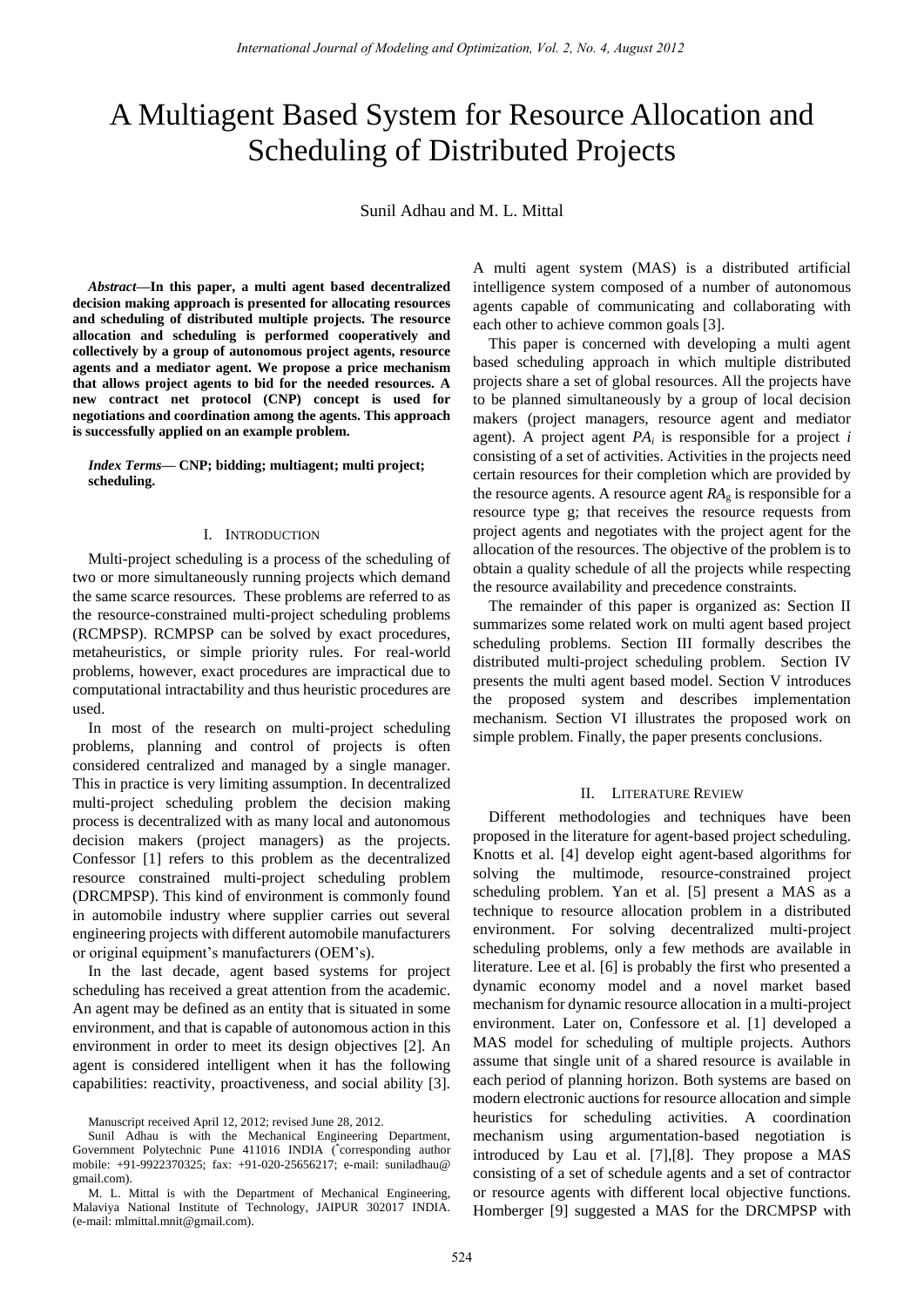# A Multiagent Based System for Resource Allocation and Scheduling of Distributed Projects

Sunil Adhau and M. L. Mittal

*Abstract***—In this paper, a multi agent based decentralized decision making approach is presented for allocating resources and scheduling of distributed multiple projects. The resource allocation and scheduling is performed cooperatively and collectively by a group of autonomous project agents, resource agents and a mediator agent. We propose a price mechanism that allows project agents to bid for the needed resources. A new contract net protocol (CNP) concept is used for negotiations and coordination among the agents. This approach is successfully applied on an example problem.** 

*Index Terms***— CNP; bidding; multiagent; multi project; scheduling.** 

#### I. INTRODUCTION

Multi-project scheduling is a process of the scheduling of two or more simultaneously running projects which demand the same scarce resources. These problems are referred to as the resource-constrained multi-project scheduling problems (RCMPSP). RCMPSP can be solved by exact procedures, metaheuristics, or simple priority rules. For real-world problems, however, exact procedures are impractical due to computational intractability and thus heuristic procedures are used.

In most of the research on multi-project scheduling problems, planning and control of projects is often considered centralized and managed by a single manager. This in practice is very limiting assumption. In decentralized multi-project scheduling problem the decision making process is decentralized with as many local and autonomous decision makers (project managers) as the projects. Confessor [1] refers to this problem as the decentralized resource constrained multi-project scheduling problem (DRCMPSP). This kind of environment is commonly found in automobile industry where supplier carries out several engineering projects with different automobile manufacturers or original equipment's manufacturers (OEM's).

In the last decade, agent based systems for project scheduling has received a great attention from the academic. An agent may be defined as an entity that is situated in some environment, and that is capable of autonomous action in this environment in order to meet its design objectives [2]. An agent is considered intelligent when it has the following capabilities: reactivity, proactiveness, and social ability [3]. A multi agent system (MAS) is a distributed artificial intelligence system composed of a number of autonomous agents capable of communicating and collaborating with each other to achieve common goals [3].

This paper is concerned with developing a multi agent based scheduling approach in which multiple distributed projects share a set of global resources. All the projects have to be planned simultaneously by a group of local decision makers (project managers, resource agent and mediator agent). A project agent *PA<sup>i</sup>* is responsible for a project *i* consisting of a set of activities. Activities in the projects need certain resources for their completion which are provided by the resource agents. A resource agent  $RA<sub>g</sub>$  is responsible for a resource type g; that receives the resource requests from project agents and negotiates with the project agent for the allocation of the resources. The objective of the problem is to obtain a quality schedule of all the projects while respecting the resource availability and precedence constraints.

The remainder of this paper is organized as: Section II summarizes some related work on multi agent based project scheduling problems. Section III formally describes the distributed multi-project scheduling problem. Section IV presents the multi agent based model. Section V introduces the proposed system and describes implementation mechanism. Section VI illustrates the proposed work on simple problem. Finally, the paper presents conclusions.

## II. LITERATURE REVIEW

Different methodologies and techniques have been proposed in the literature for agent-based project scheduling. Knotts et al. [4] develop eight agent-based algorithms for solving the multimode, resource-constrained project scheduling problem. Yan et al. [5] present a MAS as a technique to resource allocation problem in a distributed environment. For solving decentralized multi-project scheduling problems, only a few methods are available in literature. Lee et al. [6] is probably the first who presented a dynamic economy model and a novel market based mechanism for dynamic resource allocation in a multi-project environment. Later on, Confessore et al. [1] developed a MAS model for scheduling of multiple projects. Authors assume that single unit of a shared resource is available in each period of planning horizon. Both systems are based on modern electronic auctions for resource allocation and simple heuristics for scheduling activities. A coordination mechanism using argumentation-based negotiation is introduced by Lau et al. [7],[8]. They propose a MAS consisting of a set of schedule agents and a set of contractor or resource agents with different local objective functions. Homberger [9] suggested a MAS for the DRCMPSP with

Manuscript received April 12, 2012; revised June 28, 2012.

Sunil Adhau is with the Mechanical Engineering Department, Government Polytechnic Pune 411016 INDIA (\* corresponding author mobile: +91-9922370325; fax: +91-020-25656217; e-mail: suniladhau@ gmail.com).

M. L. Mittal is with the Department of Mechanical Engineering, Malaviya National Institute of Technology, JAIPUR 302017 INDIA. (e-mail: mlmittal.mnit@gmail.com).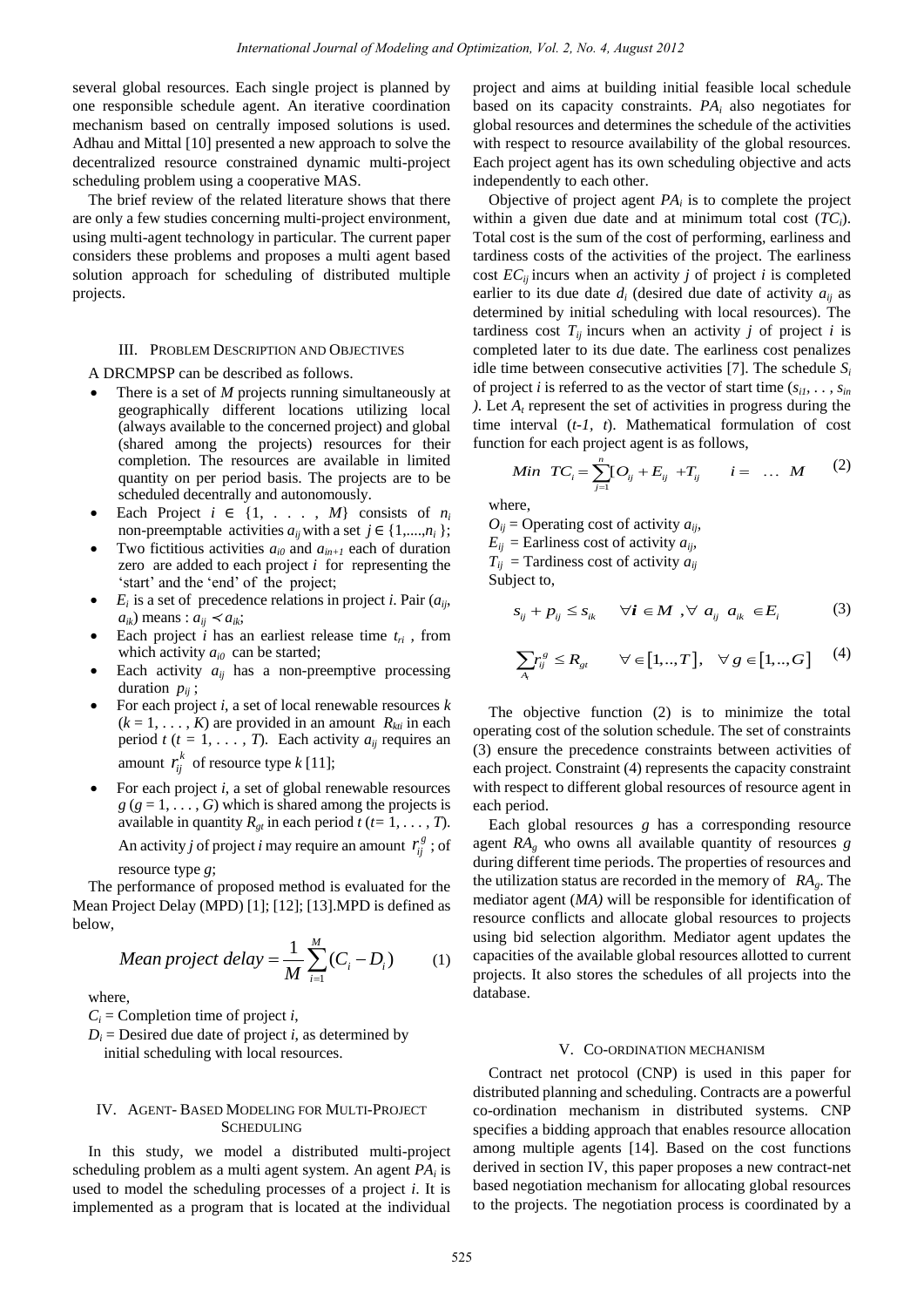several global resources. Each single project is planned by one responsible schedule agent. An iterative coordination mechanism based on centrally imposed solutions is used. Adhau and Mittal [10] presented a new approach to solve the decentralized resource constrained dynamic multi-project scheduling problem using a cooperative MAS.

The brief review of the related literature shows that there are only a few studies concerning multi-project environment, using multi-agent technology in particular. The current paper considers these problems and proposes a multi agent based solution approach for scheduling of distributed multiple projects.

# III. PROBLEM DESCRIPTION AND OBJECTIVES

A DRCMPSP can be described as follows.

- There is a set of *M* projects running simultaneously at geographically different locations utilizing local (always available to the concerned project) and global (shared among the projects) resources for their completion. The resources are available in limited quantity on per period basis. The projects are to be scheduled decentrally and autonomously.
- Each Project  $i \in \{1, \ldots, M\}$  consists of  $n_i$ non-preemptable activities  $a_{ij}$  with a set  $j \in \{1, \ldots, n_i\}$ ;
- Two fictitious activities  $a_{i0}$  and  $a_{in+1}$  each of duration zero are added to each project *i* for representing the 'start' and the 'end' of the project;
- $E_i$  is a set of precedence relations in project *i*. Pair  $(a_{ii},$  $a_{ik}$ ) means :  $a_{ij} \lt a_{ik}$ ;
- Each project *i* has an earliest release time  $t_{ri}$ , from which activity  $a_{i0}$  can be started;
- Each activity  $a_{ij}$  has a non-preemptive processing duration  $p_{ij}$ ;
- For each project *i*, a set of local renewable resources *k*  $(k = 1, \ldots, K)$  are provided in an amount  $R_{kti}$  in each period *t* ( $t = 1, \ldots, T$ ). Each activity  $a_{ij}$  requires an amount  $r_{ij}^k$  of resource type *k* [11];
- For each project *i*, a set of global renewable resources  $g$  ( $g = 1, \ldots, G$ ) which is shared among the projects is available in quantity  $R_{gt}$  in each period  $t$  ( $t=1, \ldots, T$ ). An activity *j* of project *i* may require an amount  $r_{ij}^g$ ; of

resource type *g*;

The performance of proposed method is evaluated for the Mean Project Delay (MPD) [1]; [12]; [13].MPD is defined as below,

Mean project delay = 
$$
\frac{1}{M} \sum_{i=1}^{M} (C_i - D_i)
$$
 (1)

where,

 $C_i$  = Completion time of project *i*,

 $D_i$  = Desired due date of project *i*, as determined by initial scheduling with local resources.

#### IV. AGENT- BASED MODELING FOR MULTI-PROJECT **SCHEDULING**

In this study, we model a distributed multi-project scheduling problem as a multi agent system. An agent *PA<sup>i</sup>* is used to model the scheduling processes of a project *i*. It is implemented as a program that is located at the individual

project and aims at building initial feasible local schedule based on its capacity constraints. *PA<sup>i</sup>* also negotiates for global resources and determines the schedule of the activities with respect to resource availability of the global resources. Each project agent has its own scheduling objective and acts independently to each other.

Objective of project agent  $PA_i$  is to complete the project within a given due date and at minimum total cost (*TCi*). Total cost is the sum of the cost of performing, earliness and tardiness costs of the activities of the project. The earliness cost  $EC_{ij}$  incurs when an activity *j* of project *i* is completed earlier to its due date  $d_i$  (desired due date of activity  $a_{ij}$  as determined by initial scheduling with local resources). The tardiness cost  $T_{ii}$  incurs when an activity *j* of project *i* is completed later to its due date. The earliness cost penalizes idle time between consecutive activities [7]. The schedule  $S_i$ of project *i* is referred to as the vector of start time  $(s_{i1}, \ldots, s_{in})$ ). Let  $A_t$  represent the set of activities in progress during the time interval (*t-1, t*). Mathematical formulation of cost

function for each project agent is as follows,  
\n*Min* 
$$
TC_i = \sum_{j=1}^{n} [O_{ij} + E_{ij} + T_{ij} \quad i = \dots M
$$
 (2)

where,

 $O_{ij}$  = Operating cost of activity  $a_{ij}$ ,  $E_{ij}$  = Earliness cost of activity  $a_{ij}$ ,  $T_{ij}$  = Tardiness cost of activity  $a_{ij}$ 

Subject to,

,  $\forall a_{ij} a_{ik} \in E_i$  (3)  $s_{ij} + p_{ij} \leq s_{ik}$   $\forall i \in M$ ,  $\forall a_{ij}$   $a_{ik} \in E_i$ (3)

$$
\sum_{A_i} r_{ij}^s \le R_{gt} \qquad \forall \in [1,..,T], \quad \forall g \in [1,..,G] \qquad (4)
$$

The objective function (2) is to minimize the total operating cost of the solution schedule. The set of constraints (3) ensure the precedence constraints between activities of each project. Constraint (4) represents the capacity constraint with respect to different global resources of resource agent in each period.

Each global resources *g* has a corresponding resource agent *RAg* who owns all available quantity of resources *g* during different time periods. The properties of resources and the utilization status are recorded in the memory of *RAg*. The mediator agent (*MA)* will be responsible for identification of resource conflicts and allocate global resources to projects using bid selection algorithm. Mediator agent updates the capacities of the available global resources allotted to current projects. It also stores the schedules of all projects into the database.

#### V. CO-ORDINATION MECHANISM

Contract net protocol (CNP) is used in this paper for distributed planning and scheduling. Contracts are a powerful co-ordination mechanism in distributed systems. CNP specifies a bidding approach that enables resource allocation among multiple agents [14]. Based on the cost functions derived in section IV, this paper proposes a new contract-net based negotiation mechanism for allocating global resources to the projects. The negotiation process is coordinated by a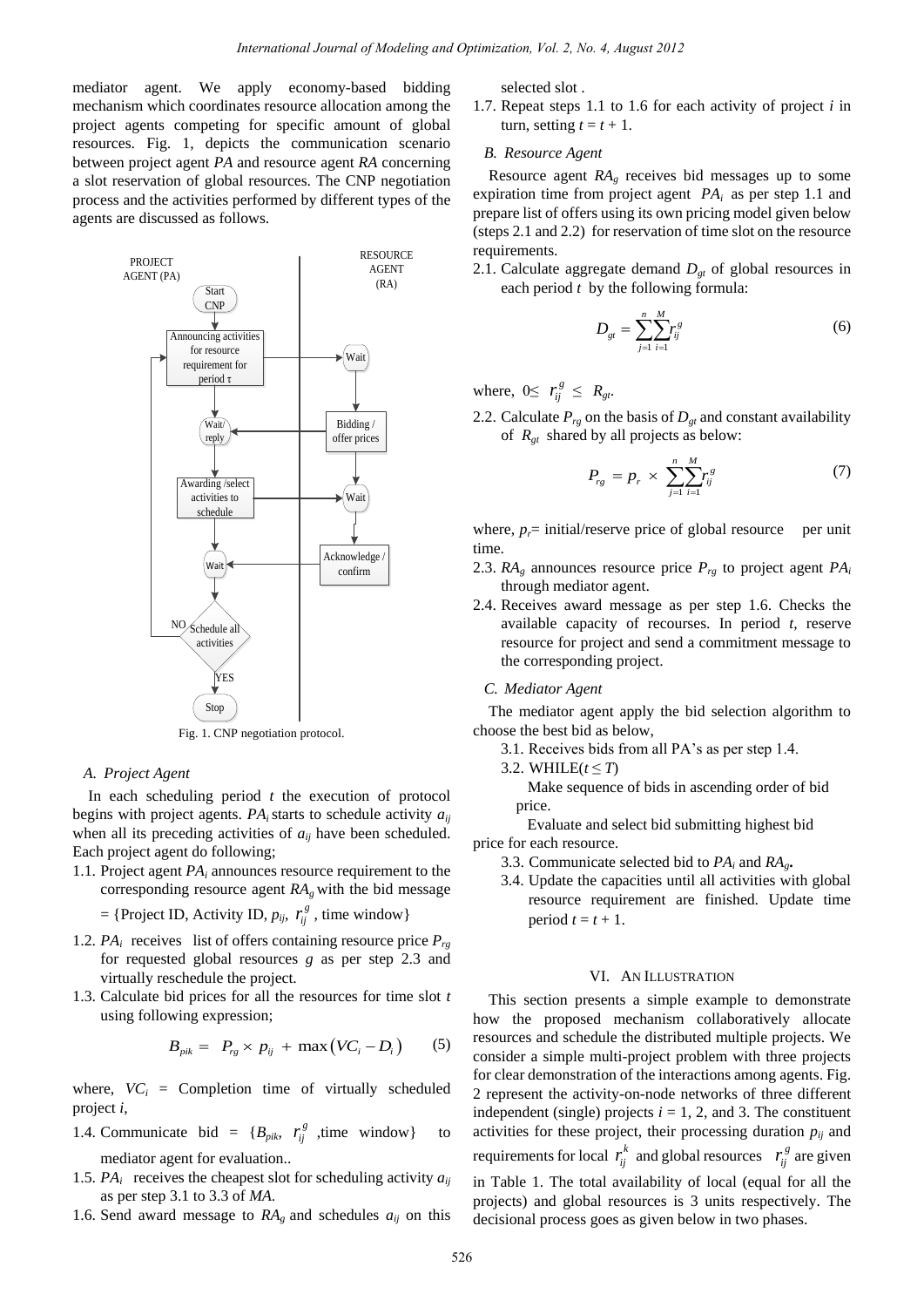mediator agent. We apply economy-based bidding mechanism which coordinates resource allocation among the project agents competing for specific amount of global resources. Fig. 1, depicts the communication scenario between project agent *PA* and resource agent *RA* concerning a slot reservation of global resources. The CNP negotiation process and the activities performed by different types of the agents are discussed as follows.



Fig. 1. CNP negotiation protocol.

#### *A. Project Agent*

In each scheduling period *t* the execution of protocol begins with project agents.  $PA_i$  starts to schedule activity  $a_{ii}$ when all its preceding activities of  $a_{ij}$  have been scheduled. Each project agent do following;

1.1. Project agent *PA<sup>i</sup>* announces resource requirement to the corresponding resource agent  $RA<sub>g</sub>$  with the bid message

= {Project ID, Activity ID, 
$$
p_{ij}
$$
,  $r_{ij}^g$ , time window}

- 1.2. *PA*<sup>*i*</sup> receives list of offers containing resource price  $P_{rg}$ for requested global resources *g* as per step 2.3 and virtually reschedule the project.
- 1.3. Calculate bid prices for all the resources for time slot *t*  using following expression;

$$
B_{\text{pik}} = P_{\text{rg}} \times p_{ij} + \max (VC_i - D_i) \qquad (5)
$$

where,  $VC_i$  = Completion time of virtually scheduled project *i*,

- 1.4. Communicate bid =  ${B_{pik}, r_{ij}^g$  ,time window} to mediator agent for evaluation..
- 1.5. *PA*<sup>*i*</sup> receives the cheapest slot for scheduling activity  $a_{ij}$ as per step 3.1 to 3.3 of *MA*.
- 1.6. Send award message to  $RA$ <sup>g</sup> and schedules  $a_{ij}$  on this

selected slot .

1.7. Repeat steps 1.1 to 1.6 for each activity of project *i* in turn, setting  $t = t + 1$ .

# *B. Resource Agent*

Resource agent *RAg* receives bid messages up to some expiration time from project agent *PAi* as per step 1.1 and prepare list of offers using its own pricing model given below (steps 2.1 and 2.2) for reservation of time slot on the resource requirements.

2.1. Calculate aggregate demand  $D_{gt}$  of global resources in each period *t* by the following formula:

$$
D_{gt} = \sum_{j=1}^{n} \sum_{i=1}^{M} r_{ij}^{s} \tag{6}
$$

where,  $0 \leq r_{ij}^g \leq R_{gt}$ .

2.2. Calculate  $P_{rg}$  on the basis of  $D_{gt}$  and constant availability of *Rgt* shared by all projects as below:

$$
P_{rg} = p_r \times \sum_{j=1}^{n} \sum_{i=1}^{M} r_{ij}^s \tag{7}
$$

where,  $p_f$ = initial/reserve price of global resource per unit time.

- 2.3.  $RA_g$  announces resource price  $P_{rg}$  to project agent  $PA_i$ through mediator agent.
- 2.4. Receives award message as per step 1.6. Checks the available capacity of recourses. In period *t,* reserve resource for project and send a commitment message to the corresponding project.

#### *C. Mediator Agent*

The mediator agent apply the bid selection algorithm to choose the best bid as below,

- 3.1. Receives bids from all PA's as per step 1.4.
- 3.2. WHILE( $t \leq T$ )
	- Make sequence of bids in ascending order of bid price.

 Evaluate and select bid submitting highest bid price for each resource.

- 3.3. Communicate selected bid to  $PA_i$  and  $RA_g$ **.**
- 3.4. Update the capacities until all activities with global resource requirement are finished. Update time period  $t = t + 1$ .

#### VI. AN ILLUSTRATION

This section presents a simple example to demonstrate how the proposed mechanism collaboratively allocate resources and schedule the distributed multiple projects. We consider a simple multi-project problem with three projects for clear demonstration of the interactions among agents. Fig. 2 represent the activity-on-node networks of three different independent (single) projects  $i = 1, 2$ , and 3. The constituent activities for these project, their processing duration  $p_{ij}$  and requirements for local  $r_i^k$  and global resources  $r_i^g$  are given in Table 1. The total availability of local (equal for all the projects) and global resources is 3 units respectively. The decisional process goes as given below in two phases.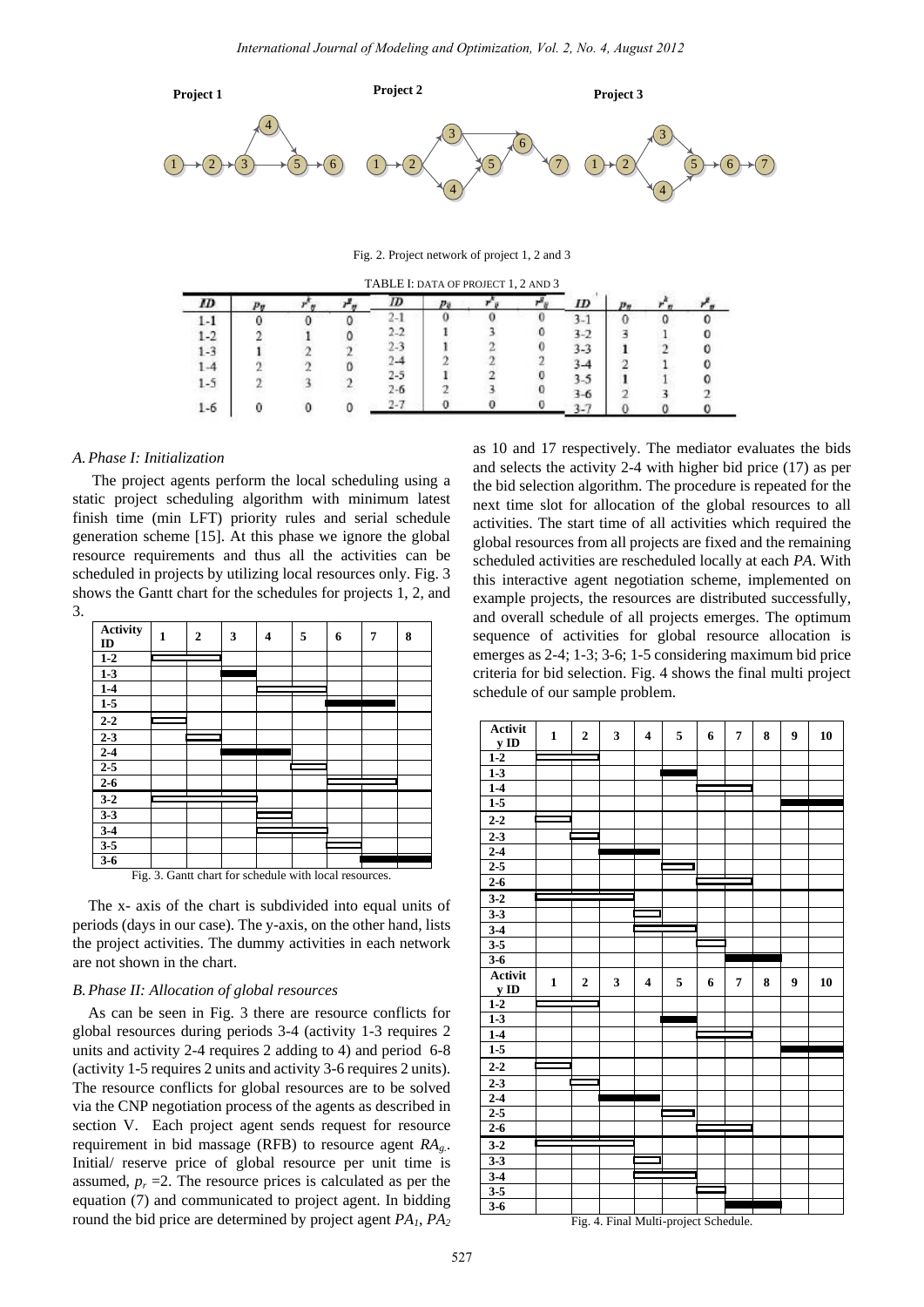

Fig. 2. Project network of project 1, 2 and 3

|         | TABLE I: DATA OF PROJECT 1, 2 AND 3 |  |         |  |  |  |      |  |  |
|---------|-------------------------------------|--|---------|--|--|--|------|--|--|
| ID      |                                     |  | ,,,     |  |  |  | ID   |  |  |
| ı-ı     |                                     |  |         |  |  |  |      |  |  |
| 1.2     |                                     |  | $2 - 2$ |  |  |  | 3-2  |  |  |
| 1-3     |                                     |  |         |  |  |  | 3-3  |  |  |
|         |                                     |  |         |  |  |  |      |  |  |
| $1 - 5$ |                                     |  | ı.,     |  |  |  | 3.5  |  |  |
|         |                                     |  | ≀∸n     |  |  |  | $-6$ |  |  |
| 1-6     |                                     |  |         |  |  |  |      |  |  |

#### *A.Phase I: Initialization*

 The project agents perform the local scheduling using a static project scheduling algorithm with minimum latest finish time (min LFT) priority rules and serial schedule generation scheme [15]. At this phase we ignore the global resource requirements and thus all the activities can be scheduled in projects by utilizing local resources only. Fig. 3 shows the Gantt chart for the schedules for projects 1, 2, and 3.

| <b>Activity</b><br>ID                                  | 1 | $\boldsymbol{2}$ | 3 | 4 | 5 | 6 | 7 | 8 |  |
|--------------------------------------------------------|---|------------------|---|---|---|---|---|---|--|
| $1-2$                                                  |   |                  |   |   |   |   |   |   |  |
| $1-3$                                                  |   |                  |   |   |   |   |   |   |  |
| $1-4$                                                  |   |                  |   |   |   |   |   |   |  |
| $1-5$                                                  |   |                  |   |   |   |   |   |   |  |
| $2 - 2$                                                |   |                  |   |   |   |   |   |   |  |
| $2 - 3$                                                |   |                  |   |   |   |   |   |   |  |
| $2 - 4$                                                |   |                  |   |   |   |   |   |   |  |
| $2 - 5$                                                |   |                  |   |   |   |   |   |   |  |
| $2 - 6$                                                |   |                  |   |   |   |   |   |   |  |
| $3 - 2$                                                |   |                  |   |   |   |   |   |   |  |
| $3 - 3$                                                |   |                  |   |   |   |   |   |   |  |
| $3-4$                                                  |   |                  |   |   |   |   |   |   |  |
| $3 - 5$                                                |   |                  |   |   |   |   |   |   |  |
| $3 - 6$                                                |   |                  |   |   |   |   |   |   |  |
| Fig. 3. Gantt chart for schedule with local resources. |   |                  |   |   |   |   |   |   |  |

The x- axis of the chart is subdivided into equal units of periods (days in our case). The y-axis, on the other hand, lists the project activities. The dummy activities in each network are not shown in the chart.

#### *B.Phase II: Allocation of global resources*

As can be seen in Fig. 3 there are resource conflicts for global resources during periods 3-4 (activity 1-3 requires 2 units and activity 2-4 requires 2 adding to 4) and period 6-8 (activity 1-5 requires 2 units and activity 3-6 requires 2 units). The resource conflicts for global resources are to be solved via the CNP negotiation process of the agents as described in section V. Each project agent sends request for resource requirement in bid massage (RFB) to resource agent *RAg.*. Initial/ reserve price of global resource per unit time is assumed,  $p_r = 2$ . The resource prices is calculated as per the equation (7) and communicated to project agent. In bidding round the bid price are determined by project agent *PA1*, *PA<sup>2</sup>*

as 10 and 17 respectively. The mediator evaluates the bids and selects the activity 2-4 with higher bid price (17) as per the bid selection algorithm. The procedure is repeated for the next time slot for allocation of the global resources to all activities. The start time of all activities which required the global resources from all projects are fixed and the remaining scheduled activities are rescheduled locally at each *PA*. With this interactive agent negotiation scheme, implemented on example projects, the resources are distributed successfully, and overall schedule of all projects emerges. The optimum sequence of activities for global resource allocation is emerges as 2-4; 1-3; 3-6; 1-5 considering maximum bid price criteria for bid selection. Fig. 4 shows the final multi project schedule of our sample problem.



Fig. 4. Final Multi-project Schedule.